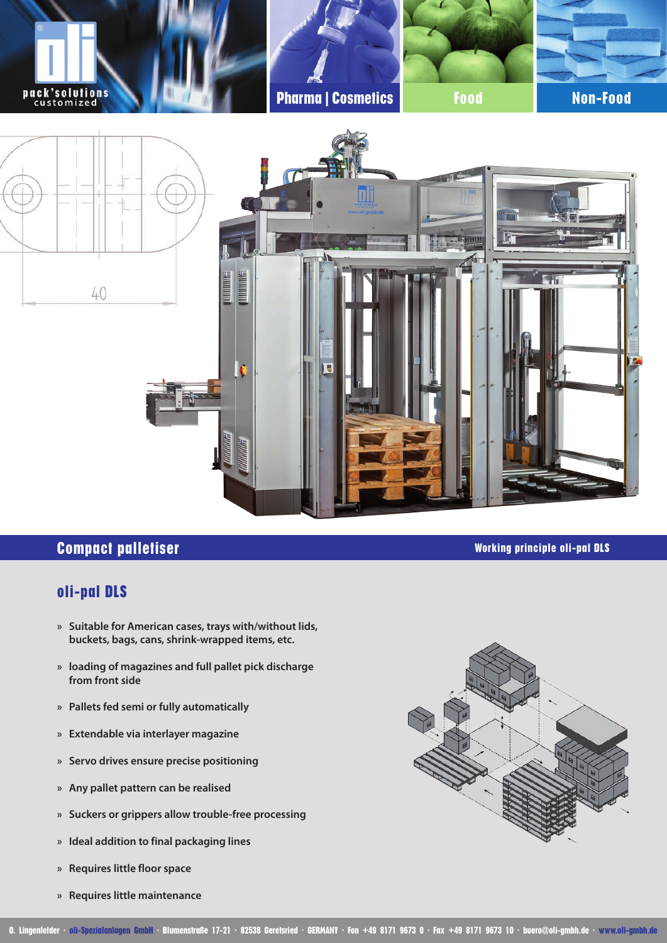

# **Compact palletiser Compact palletiser Working principle oli-pal DLS**

## **oli-pal DLS**

- **» Suitable for American cases, trays with/without lids, buckets, bags, cans, shrink-wrapped items, etc.**
- **» loading of magazines and full pallet pick discharge from front side**
- **» Pallets fed semi or fully automatically**
- **» Extendable via interlayer magazine**
- **» Servo drives ensure precise positioning**
- **» Any pallet pattern can be realised**
- **» Suckers or grippers allow trouble-free processing**
- **» Ideal addition to final packaging lines**
- **» Requires little floor space**
- **» Requires little maintenance**